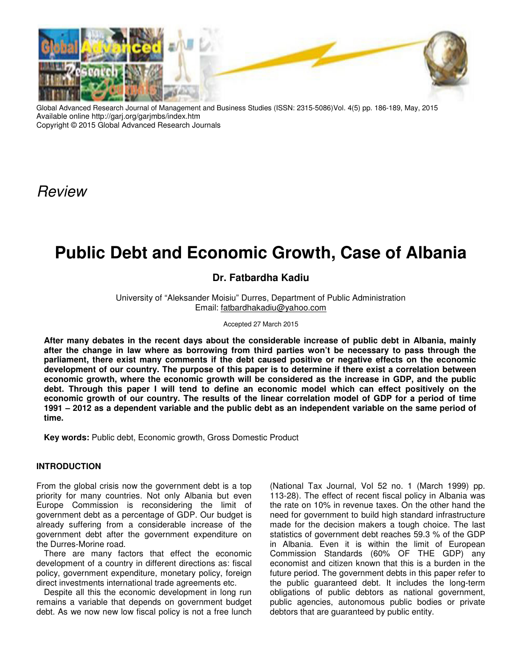

Global Advanced Research Journal of Management and Business Studies (ISSN: 2315-5086)Vol. 4(5) pp. 186-189, May, 2015 Available online http://garj.org/garjmbs/index.htm Copyright © 2015 Global Advanced Research Journals

Review

# **Public Debt and Economic Growth, Case of Albania**

**Dr. Fatbardha Kadiu** 

University of "Aleksander Moisiu" Durres, Department of Public Administration Email: fatbardhakadiu@yahoo.com

Accepted 27 March 2015

**After many debates in the recent days about the considerable increase of public debt in Albania, mainly after the change in law where as borrowing from third parties won't be necessary to pass through the parliament, there exist many comments if the debt caused positive or negative effects on the economic development of our country. The purpose of this paper is to determine if there exist a correlation between economic growth, where the economic growth will be considered as the increase in GDP, and the public debt. Through this paper I will tend to define an economic model which can effect positively on the economic growth of our country. The results of the linear correlation model of GDP for a period of time 1991 – 2012 as a dependent variable and the public debt as an independent variable on the same period of time.** 

**Key words:** Public debt, Economic growth, Gross Domestic Product

## **INTRODUCTION**

From the global crisis now the government debt is a top priority for many countries. Not only Albania but even Europe Commission is reconsidering the limit of government debt as a percentage of GDP. Our budget is already suffering from a considerable increase of the government debt after the government expenditure on the Durres-Morine road.

There are many factors that effect the economic development of a country in different directions as: fiscal policy, government expenditure, monetary policy, foreign direct investments international trade agreements etc.

Despite all this the economic development in long run remains a variable that depends on government budget debt. As we now new low fiscal policy is not a free lunch

(National Tax Journal, Vol 52 no. 1 (March 1999) pp. 113-28). The effect of recent fiscal policy in Albania was the rate on 10% in revenue taxes. On the other hand the need for government to build high standard infrastructure made for the decision makers a tough choice. The last statistics of government debt reaches 59.3 % of the GDP in Albania. Even it is within the limit of European Commission Standards (60% OF THE GDP) any economist and citizen known that this is a burden in the future period. The government debts in this paper refer to the public guaranteed debt. It includes the long-term obligations of public debtors as national government, public agencies, autonomous public bodies or private debtors that are guaranteed by public entity.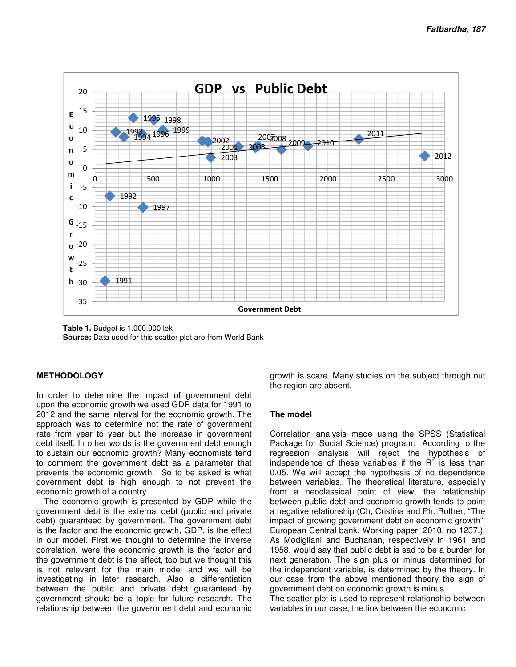

**Table 1.** Budget is 1.000.000 lek **Source:** Data used for this scatter plot are from World Bank

# **METHODOLOGY**

In order to determine the impact of government debt upon the economic growth we used GDP data for 1991 to 2012 and the same interval for the economic growth. The approach was to determine not the rate of government rate from year to year but the increase in government debt itself. In other words is the government debt enough to sustain our economic growth? Many economists tend to comment the government debt as a parameter that prevents the economic growth. So to be asked is what government debt is high enough to not prevent the economic growth of a country.

The economic growth is presented by GDP while the government debt is the external debt (public and private debt) guaranteed by government. The government debt is the factor and the economic growth, GDP, is the effect in our model. First we thought to determine the inverse correlation, were the economic growth is the factor and the government debt is the effect, too but we thought this is not relevant for the main model and we will be investigating in later research. Also a differentiation between the public and private debt guaranteed by government should be a topic for future research. The relationship between the government debt and economic

growth is scare. Many studies on the subject through out the region are absent.

# **The model**

Correlation analysis made using the SPSS (Statistical Package for Social Science) program. According to the regression analysis will reject the hypothesis of independence of these variables if the  $R^2$  is less than 0.05. We will accept the hypothesis of no dependence between variables. The theoretical literature, especially from a neoclassical point of view, the relationship between public debt and economic growth tends to point a negative relationship (Ch, Cristina and Ph. Rother, "The impact of growing government debt on economic growth". European Central bank, Working paper, 2010, no 1237.). As Modigliani and Buchanan, respectively in 1961 and 1958, would say that public debt is sad to be a burden for next generation. The sign plus or minus determined for the independent variable, is determined by the theory. In our case from the above mentioned theory the sign of government debt on economic growth is minus. The scatter plot is used to represent relationship between

variables in our case, the link between the economic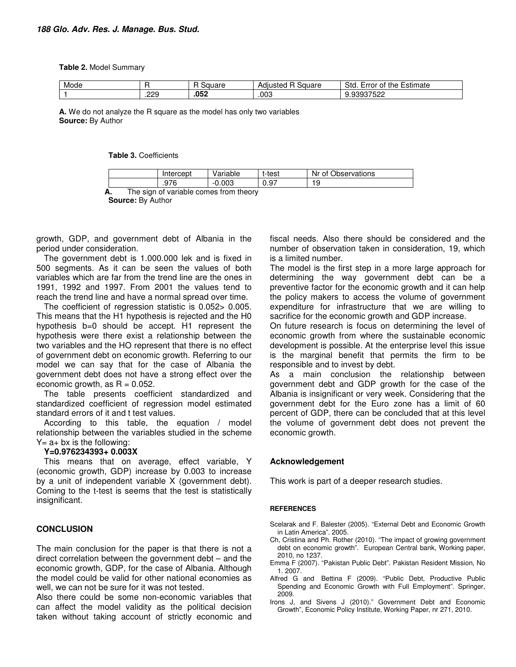#### **Table 2.** Model Summary

| Mode |              | _<br>$\overline{\phantom{a}}$<br>ומצ<br>ναι σ | 'auare<br>Adiusted | Std<br>≡stımate<br>Error<br>the<br>$\sim$<br>- OL |
|------|--------------|-----------------------------------------------|--------------------|---------------------------------------------------|
|      | つつC<br>ں ے ۔ | .052                                          | .003               | nnazenn<br>عےں<br>. טכנ                           |

**A.** We do not analyze the R square as the model has only two variables **Source:** By Author

### **Table 3.** Coefficients

|    |                                        | Intercept | Variable | t-test | Nr of Observations |  |
|----|----------------------------------------|-----------|----------|--------|--------------------|--|
|    |                                        | .976      | $-0.003$ | 0.97   | 19                 |  |
| А. | The sign of variable comes from theory |           |          |        |                    |  |

**Source:** By Author

growth, GDP, and government debt of Albania in the period under consideration.

The government debt is 1.000.000 lek and is fixed in 500 segments. As it can be seen the values of both variables which are far from the trend line are the ones in 1991, 1992 and 1997. From 2001 the values tend to reach the trend line and have a normal spread over time.

The coefficient of regression statistic is 0.052> 0.005. This means that the H1 hypothesis is rejected and the H0 hypothesis b=0 should be accept. H1 represent the hypothesis were there exist a relationship between the two variables and the HO represent that there is no effect of government debt on economic growth. Referring to our model we can say that for the case of Albania the government debt does not have a strong effect over the economic growth, as  $R = 0.052$ .

The table presents coefficient standardized and standardized coefficient of regression model estimated standard errors of it and t test values.

According to this table, the equation / model relationship between the variables studied in the scheme  $Y=$  a+ bx is the following:

#### **Y=0.976234393+ 0.003X**

This means that on average, effect variable, Y (economic growth, GDP) increase by 0.003 to increase by a unit of independent variable X (government debt). Coming to the t-test is seems that the test is statistically insignificant.

## **CONCLUSION**

The main conclusion for the paper is that there is not a direct correlation between the government debt – and the economic growth, GDP, for the case of Albania. Although the model could be valid for other national economies as well, we can not be sure for it was not tested.

Also there could be some non-economic variables that can affect the model validity as the political decision taken without taking account of strictly economic and fiscal needs. Also there should be considered and the number of observation taken in consideration, 19, which is a limited number.

The model is the first step in a more large approach for determining the way government debt can be a preventive factor for the economic growth and it can help the policy makers to access the volume of government expenditure for infrastructure that we are willing to sacrifice for the economic growth and GDP increase.

On future research is focus on determining the level of economic growth from where the sustainable economic development is possible. At the enterprise level this issue is the marginal benefit that permits the firm to be responsible and to invest by debt.

As a main conclusion the relationship between government debt and GDP growth for the case of the Albania is insignificant or very week. Considering that the government debt for the Euro zone has a limit of 60 percent of GDP, there can be concluded that at this level the volume of government debt does not prevent the economic growth.

## **Acknowledgement**

This work is part of a deeper research studies.

#### **REFERENCES**

- Scelarak and F. Balester (2005). "External Debt and Economic Growth in Latin America". 2005.
- Ch, Cristina and Ph. Rother (2010). "The impact of growing government debt on economic growth". European Central bank, Working paper, 2010, no 1237.
- Emma F (2007). "Pakistan Public Debt". Pakistan Resident Mission, No 1. 2007.
- Alfred G and Bettina F (2009). "Public Debt, Productive Public Spending and Economic Growth with Full Employment". Springer, 2009.
- Irons J, and Sivens J (2010)." Government Debt and Economic Growth", Economic Policy Institute, Working Paper, nr 271, 2010.